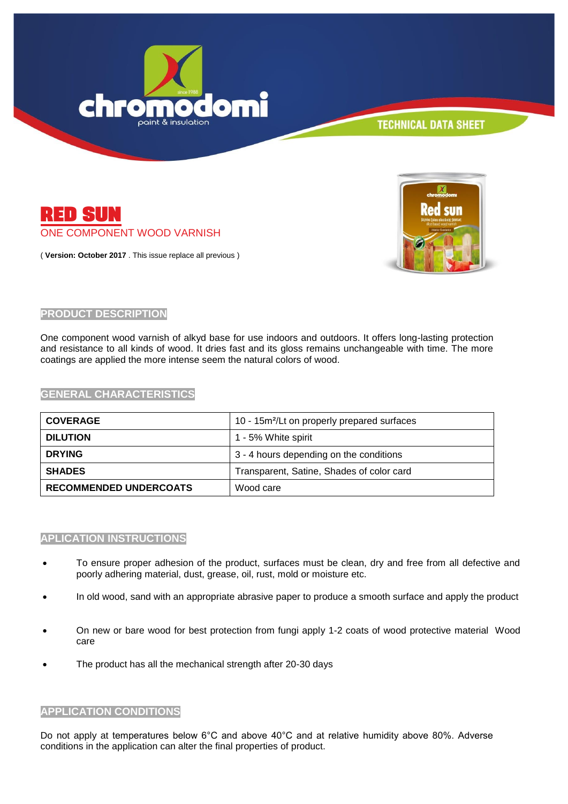



( **Version: October 2017** . This issue replace all previous )



### **PRODUCT DESCRIPTION**

One component wood varnish of alkyd base for use indoors and outdoors. It offers long-lasting protection and resistance to all kinds of wood. It dries fast and its gloss remains unchangeable with time. The more coatings are applied the more intense seem the natural colors of wood.

#### **GENERAL CHARACTERISTICS**

| <b>COVERAGE</b>               | 10 - 15m <sup>2</sup> /Lt on properly prepared surfaces |
|-------------------------------|---------------------------------------------------------|
| <b>DILUTION</b>               | 1 - 5% White spirit                                     |
| <b>DRYING</b>                 | 3 - 4 hours depending on the conditions                 |
| <b>SHADES</b>                 | Transparent, Satine, Shades of color card               |
| <b>RECOMMENDED UNDERCOATS</b> | Wood care                                               |

### **APLICATION INSTRUCTIONS**

- To ensure proper adhesion of the product, surfaces must be clean, dry and free from all defective and poorly adhering material, dust, grease, oil, rust, mold or moisture etc.
- In old wood, sand with an appropriate abrasive paper to produce a smooth surface and apply the product
- On new or bare wood for best protection from fungi apply 1-2 coats of wood protective material Wood care
- The product has all the mechanical strength after 20-30 days

#### **APPLICATION CONDITIONS**

Do not apply at temperatures below 6°C and above 40°C and at relative humidity above 80%. Adverse conditions in the application can alter the final properties of product.